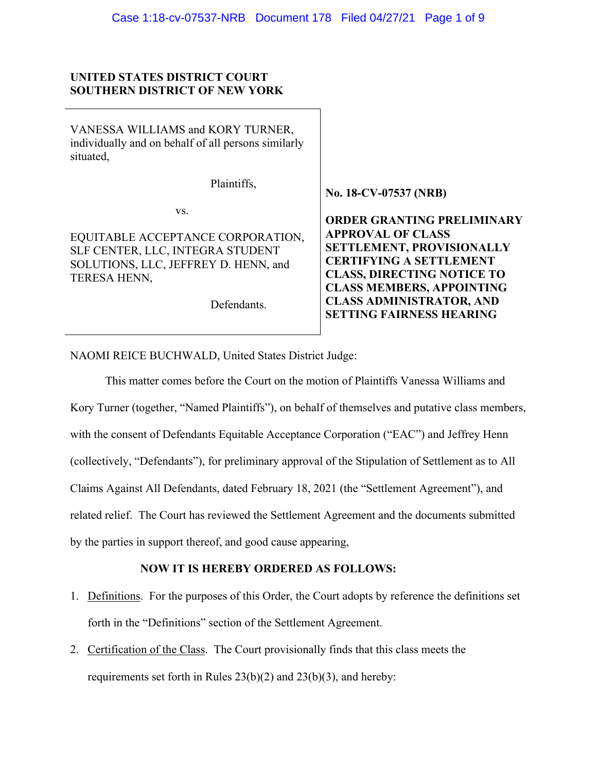## **UNITED STATES DISTRICT COURT SOUTHERN DISTRICT OF NEW YORK**

| VANESSA WILLIAMS and KORY TURNER,<br>individually and on behalf of all persons similarly<br>situated,                                               |                                                                                                                                                                                                                                                                                    |
|-----------------------------------------------------------------------------------------------------------------------------------------------------|------------------------------------------------------------------------------------------------------------------------------------------------------------------------------------------------------------------------------------------------------------------------------------|
| Plaintiffs,                                                                                                                                         | No. 18-CV-07537 (NRB)                                                                                                                                                                                                                                                              |
| VS.<br>EQUITABLE ACCEPTANCE CORPORATION,<br>SLF CENTER, LLC, INTEGRA STUDENT<br>SOLUTIONS, LLC, JEFFREY D. HENN, and<br>TERESA HENN,<br>Defendants. | <b>ORDER GRANTING PRELIMINARY</b><br><b>APPROVAL OF CLASS</b><br><b>SETTLEMENT, PROVISIONALLY</b><br><b>CERTIFYING A SETTLEMENT</b><br><b>CLASS, DIRECTING NOTICE TO</b><br><b>CLASS MEMBERS, APPOINTING</b><br><b>CLASS ADMINISTRATOR, AND</b><br><b>SETTING FAIRNESS HEARING</b> |

NAOMI REICE BUCHWALD, United States District Judge:

This matter comes before the Court on the motion of Plaintiffs Vanessa Williams and Kory Turner (together, "Named Plaintiffs"), on behalf of themselves and putative class members, with the consent of Defendants Equitable Acceptance Corporation ("EAC") and Jeffrey Henn (collectively, "Defendants"), for preliminary approval of the Stipulation of Settlement as to All Claims Against All Defendants, dated February 18, 2021 (the "Settlement Agreement"), and related relief. The Court has reviewed the Settlement Agreement and the documents submitted by the parties in support thereof, and good cause appearing,

# **NOW IT IS HEREBY ORDERED AS FOLLOWS:**

- 1. Definitions. For the purposes of this Order, the Court adopts by reference the definitions set forth in the "Definitions" section of the Settlement Agreement.
- 2. Certification of the Class. The Court provisionally finds that this class meets the requirements set forth in Rules  $23(b)(2)$  and  $23(b)(3)$ , and hereby: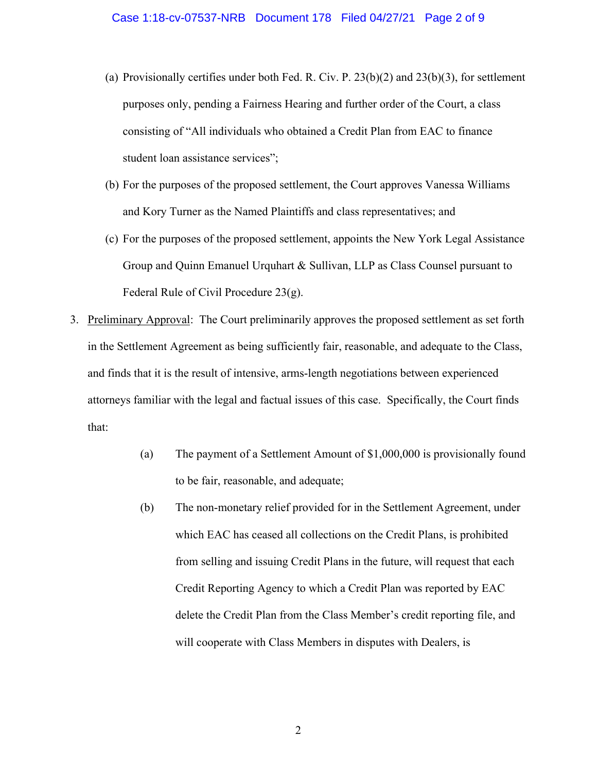- (a) Provisionally certifies under both Fed. R. Civ. P. 23(b)(2) and 23(b)(3), for settlement purposes only, pending a Fairness Hearing and further order of the Court, a class consisting of "All individuals who obtained a Credit Plan from EAC to finance student loan assistance services";
- (b) For the purposes of the proposed settlement, the Court approves Vanessa Williams and Kory Turner as the Named Plaintiffs and class representatives; and
- (c) For the purposes of the proposed settlement, appoints the New York Legal Assistance Group and Quinn Emanuel Urquhart & Sullivan, LLP as Class Counsel pursuant to Federal Rule of Civil Procedure 23(g).
- 3. Preliminary Approval: The Court preliminarily approves the proposed settlement as set forth in the Settlement Agreement as being sufficiently fair, reasonable, and adequate to the Class, and finds that it is the result of intensive, arms-length negotiations between experienced attorneys familiar with the legal and factual issues of this case. Specifically, the Court finds that:
	- (a) The payment of a Settlement Amount of \$1,000,000 is provisionally found to be fair, reasonable, and adequate;
	- (b) The non-monetary relief provided for in the Settlement Agreement, under which EAC has ceased all collections on the Credit Plans, is prohibited from selling and issuing Credit Plans in the future, will request that each Credit Reporting Agency to which a Credit Plan was reported by EAC delete the Credit Plan from the Class Member's credit reporting file, and will cooperate with Class Members in disputes with Dealers, is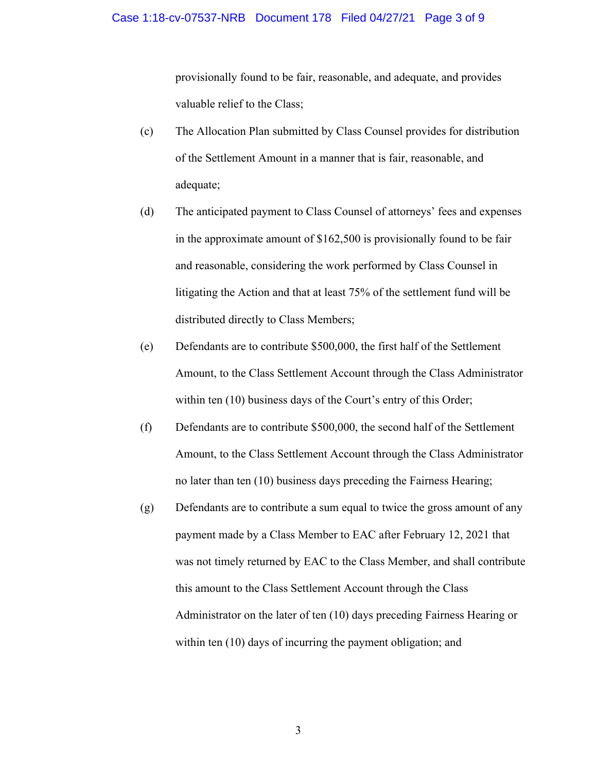provisionally found to be fair, reasonable, and adequate, and provides valuable relief to the Class;

- (c) The Allocation Plan submitted by Class Counsel provides for distribution of the Settlement Amount in a manner that is fair, reasonable, and adequate;
- (d) The anticipated payment to Class Counsel of attorneys' fees and expenses in the approximate amount of \$162,500 is provisionally found to be fair and reasonable, considering the work performed by Class Counsel in litigating the Action and that at least 75% of the settlement fund will be distributed directly to Class Members;
- (e) Defendants are to contribute \$500,000, the first half of the Settlement Amount, to the Class Settlement Account through the Class Administrator within ten (10) business days of the Court's entry of this Order;
- (f) Defendants are to contribute \$500,000, the second half of the Settlement Amount, to the Class Settlement Account through the Class Administrator no later than ten (10) business days preceding the Fairness Hearing;
- (g) Defendants are to contribute a sum equal to twice the gross amount of any payment made by a Class Member to EAC after February 12, 2021 that was not timely returned by EAC to the Class Member, and shall contribute this amount to the Class Settlement Account through the Class Administrator on the later of ten (10) days preceding Fairness Hearing or within ten (10) days of incurring the payment obligation; and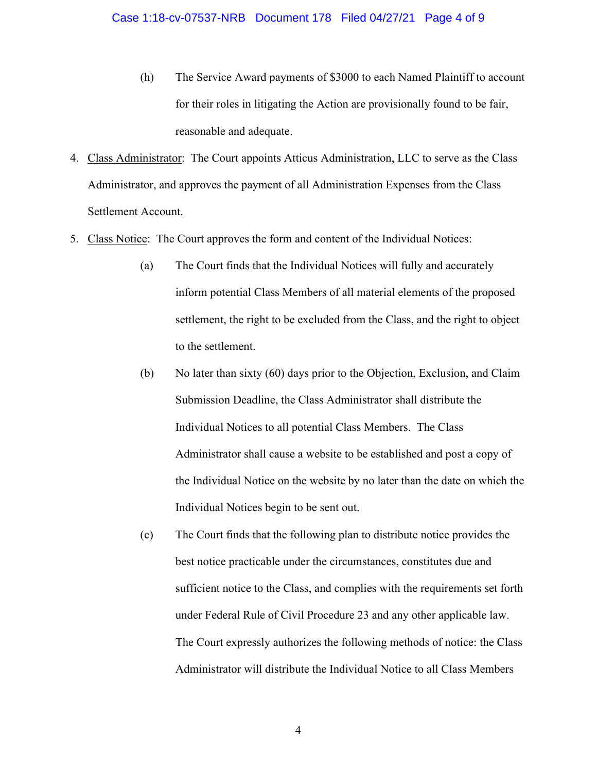- (h) The Service Award payments of \$3000 to each Named Plaintiff to account for their roles in litigating the Action are provisionally found to be fair, reasonable and adequate.
- 4. Class Administrator: The Court appoints Atticus Administration, LLC to serve as the Class Administrator, and approves the payment of all Administration Expenses from the Class Settlement Account.
- 5. Class Notice: The Court approves the form and content of the Individual Notices:
	- (a) The Court finds that the Individual Notices will fully and accurately inform potential Class Members of all material elements of the proposed settlement, the right to be excluded from the Class, and the right to object to the settlement.
	- (b) No later than sixty (60) days prior to the Objection, Exclusion, and Claim Submission Deadline, the Class Administrator shall distribute the Individual Notices to all potential Class Members. The Class Administrator shall cause a website to be established and post a copy of the Individual Notice on the website by no later than the date on which the Individual Notices begin to be sent out.
	- (c) The Court finds that the following plan to distribute notice provides the best notice practicable under the circumstances, constitutes due and sufficient notice to the Class, and complies with the requirements set forth under Federal Rule of Civil Procedure 23 and any other applicable law. The Court expressly authorizes the following methods of notice: the Class Administrator will distribute the Individual Notice to all Class Members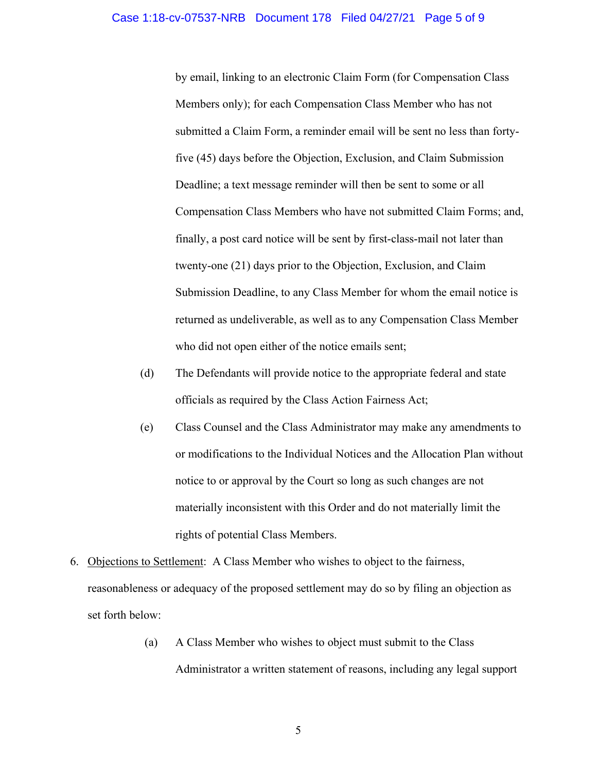by email, linking to an electronic Claim Form (for Compensation Class Members only); for each Compensation Class Member who has not submitted a Claim Form, a reminder email will be sent no less than fortyfive (45) days before the Objection, Exclusion, and Claim Submission Deadline; a text message reminder will then be sent to some or all Compensation Class Members who have not submitted Claim Forms; and, finally, a post card notice will be sent by first-class-mail not later than twenty-one (21) days prior to the Objection, Exclusion, and Claim Submission Deadline, to any Class Member for whom the email notice is returned as undeliverable, as well as to any Compensation Class Member who did not open either of the notice emails sent;

- (d) The Defendants will provide notice to the appropriate federal and state officials as required by the Class Action Fairness Act;
- (e) Class Counsel and the Class Administrator may make any amendments to or modifications to the Individual Notices and the Allocation Plan without notice to or approval by the Court so long as such changes are not materially inconsistent with this Order and do not materially limit the rights of potential Class Members.
- 6. Objections to Settlement: A Class Member who wishes to object to the fairness, reasonableness or adequacy of the proposed settlement may do so by filing an objection as set forth below:
	- (a) A Class Member who wishes to object must submit to the Class Administrator a written statement of reasons, including any legal support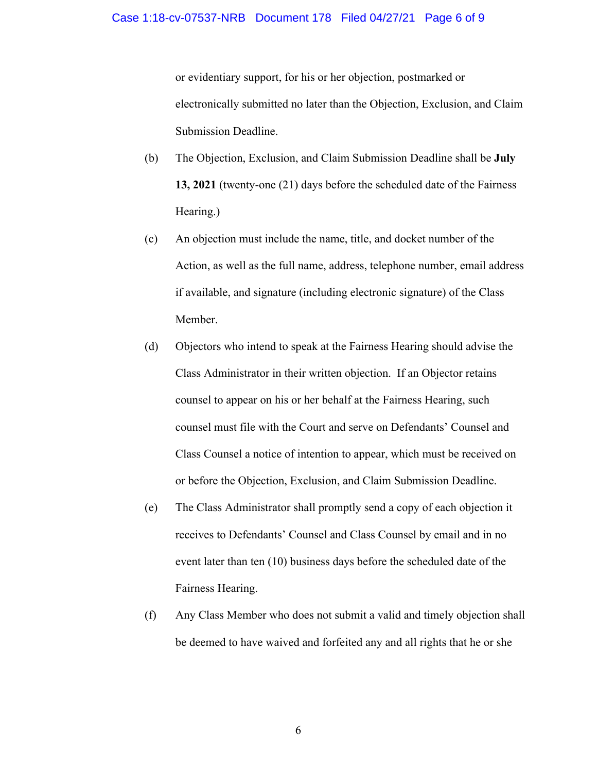#### Case 1:18-cv-07537-NRB Document 178 Filed 04/27/21 Page 6 of 9

or evidentiary support, for his or her objection, postmarked or electronically submitted no later than the Objection, Exclusion, and Claim Submission Deadline.

- (b) The Objection, Exclusion, and Claim Submission Deadline shall be **July 13, 2021** (twenty-one (21) days before the scheduled date of the Fairness Hearing.)
- (c) An objection must include the name, title, and docket number of the Action, as well as the full name, address, telephone number, email address if available, and signature (including electronic signature) of the Class Member.
- (d) Objectors who intend to speak at the Fairness Hearing should advise the Class Administrator in their written objection. If an Objector retains counsel to appear on his or her behalf at the Fairness Hearing, such counsel must file with the Court and serve on Defendants' Counsel and Class Counsel a notice of intention to appear, which must be received on or before the Objection, Exclusion, and Claim Submission Deadline.
- (e) The Class Administrator shall promptly send a copy of each objection it receives to Defendants' Counsel and Class Counsel by email and in no event later than ten (10) business days before the scheduled date of the Fairness Hearing.
- (f) Any Class Member who does not submit a valid and timely objection shall be deemed to have waived and forfeited any and all rights that he or she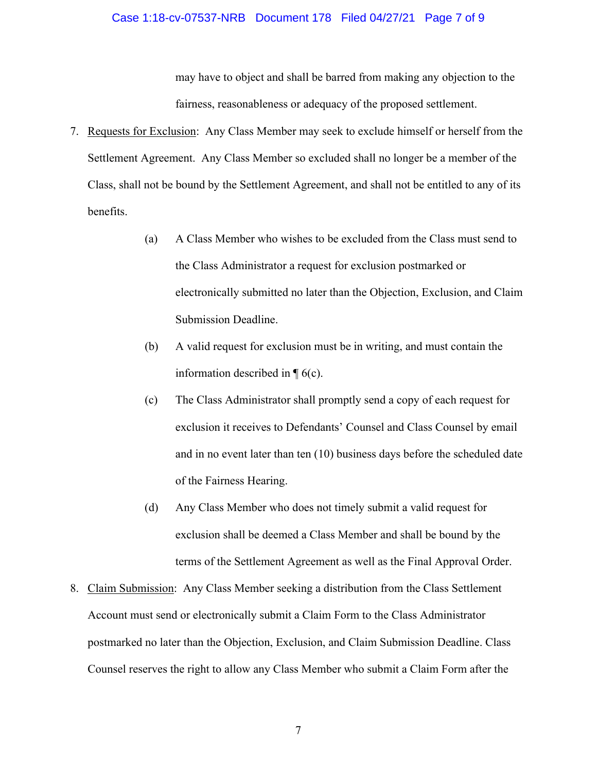#### Case 1:18-cv-07537-NRB Document 178 Filed 04/27/21 Page 7 of 9

may have to object and shall be barred from making any objection to the fairness, reasonableness or adequacy of the proposed settlement.

- 7. Requests for Exclusion: Any Class Member may seek to exclude himself or herself from the Settlement Agreement. Any Class Member so excluded shall no longer be a member of the Class, shall not be bound by the Settlement Agreement, and shall not be entitled to any of its benefits.
	- (a) A Class Member who wishes to be excluded from the Class must send to the Class Administrator a request for exclusion postmarked or electronically submitted no later than the Objection, Exclusion, and Claim Submission Deadline.
	- (b) A valid request for exclusion must be in writing, and must contain the information described in  $\P$  6(c).
	- (c) The Class Administrator shall promptly send a copy of each request for exclusion it receives to Defendants' Counsel and Class Counsel by email and in no event later than ten (10) business days before the scheduled date of the Fairness Hearing.
	- (d) Any Class Member who does not timely submit a valid request for exclusion shall be deemed a Class Member and shall be bound by the terms of the Settlement Agreement as well as the Final Approval Order.
- 8. Claim Submission: Any Class Member seeking a distribution from the Class Settlement Account must send or electronically submit a Claim Form to the Class Administrator postmarked no later than the Objection, Exclusion, and Claim Submission Deadline. Class Counsel reserves the right to allow any Class Member who submit a Claim Form after the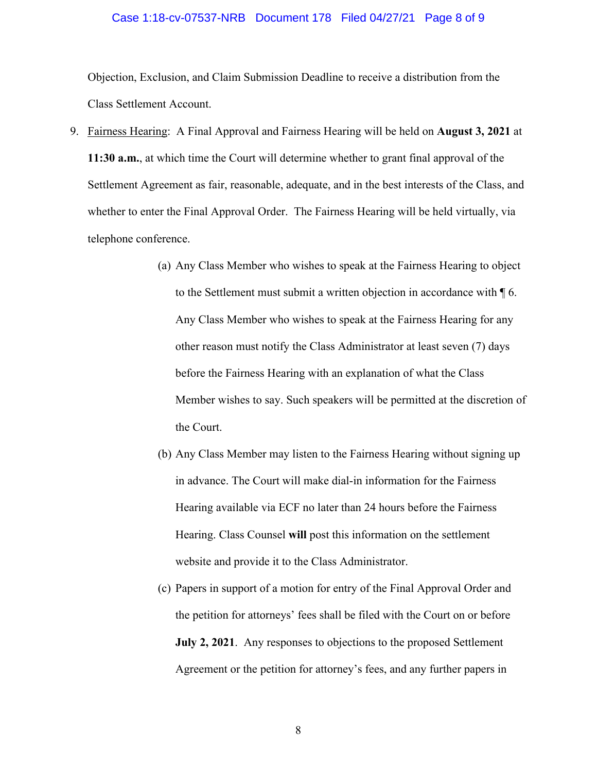#### Case 1:18-cv-07537-NRB Document 178 Filed 04/27/21 Page 8 of 9

Objection, Exclusion, and Claim Submission Deadline to receive a distribution from the Class Settlement Account.

- 9. Fairness Hearing: A Final Approval and Fairness Hearing will be held on **August 3, 2021** at **11:30 a.m.**, at which time the Court will determine whether to grant final approval of the Settlement Agreement as fair, reasonable, adequate, and in the best interests of the Class, and whether to enter the Final Approval Order. The Fairness Hearing will be held virtually, via telephone conference.
	- (a) Any Class Member who wishes to speak at the Fairness Hearing to object to the Settlement must submit a written objection in accordance with ¶ 6. Any Class Member who wishes to speak at the Fairness Hearing for any other reason must notify the Class Administrator at least seven (7) days before the Fairness Hearing with an explanation of what the Class Member wishes to say. Such speakers will be permitted at the discretion of the Court.
	- (b) Any Class Member may listen to the Fairness Hearing without signing up in advance. The Court will make dial-in information for the Fairness Hearing available via ECF no later than 24 hours before the Fairness Hearing. Class Counsel **will** post this information on the settlement website and provide it to the Class Administrator.
	- (c) Papers in support of a motion for entry of the Final Approval Order and the petition for attorneys' fees shall be filed with the Court on or before **July 2, 2021**. Any responses to objections to the proposed Settlement Agreement or the petition for attorney's fees, and any further papers in